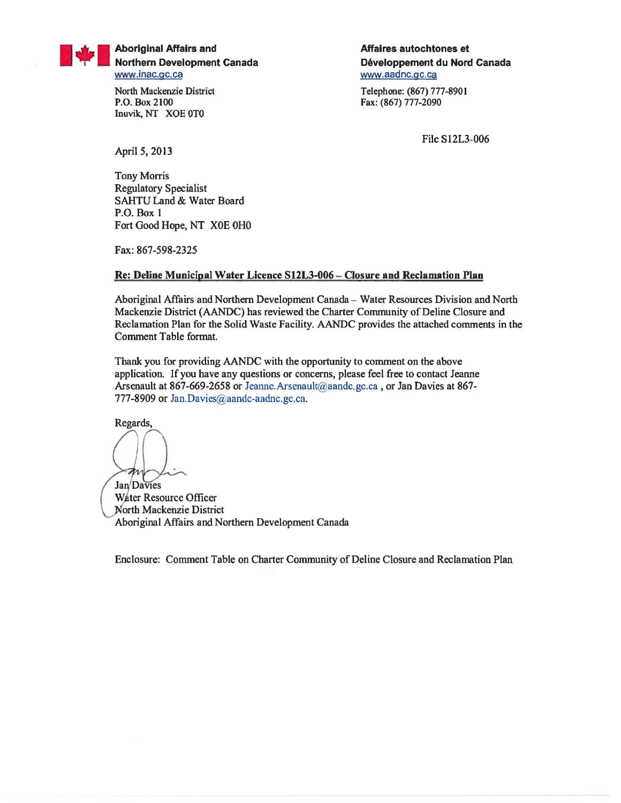

**Aboriginal Affairs and Northern Development Canada** www.inac.gc.ca

North Mackenzie District P.O. Box 2100 Inuvik, NT XOE 0T0

Affaires autochtones et Développement du Nord Canada www.aadnc.gc.ca

Telephone: (867) 777-8901 Fax: (867) 777-2090

File S12L3-006

April 5, 2013

**Tony Morris Regulatory Specialist** SAHTU Land & Water Board P.O. Box 1 Fort Good Hope, NT X0E 0H0

Fax: 867-598-2325

## Re: Deline Municipal Water Licence S12L3-006 - Closure and Reclamation Plan

Aboriginal Affairs and Northern Development Canada – Water Resources Division and North Mackenzie District (AANDC) has reviewed the Charter Community of Deline Closure and Reclamation Plan for the Solid Waste Facility. AANDC provides the attached comments in the Comment Table format.

Thank you for providing AANDC with the opportunity to comment on the above application. If you have any questions or concerns, please feel free to contact Jeanne Arsenault at 867-669-2658 or Jeanne. Arsenault@aandc.gc.ca, or Jan Davies at 867-777-8909 or Jan.Davies@aandc-aadnc.gc.ca.

Regards,  $\pi$ 

Jan/Davies Water Resource Officer North Mackenzie District Aboriginal Affairs and Northern Development Canada

Enclosure: Comment Table on Charter Community of Deline Closure and Reclamation Plan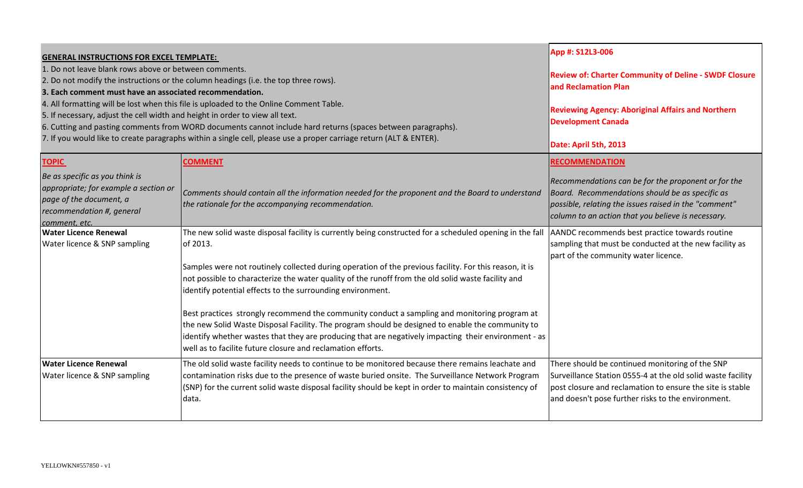| <b>GENERAL INSTRUCTIONS FOR EXCEL TEMPLATE:</b><br>1. Do not leave blank rows above or between comments.<br>2. Do not modify the instructions or the column headings (i.e. the top three rows).<br>3. Each comment must have an associated recommendation.<br>4. All formatting will be lost when this file is uploaded to the Online Comment Table.<br>5. If necessary, adjust the cell width and height in order to view all text.<br>6. Cutting and pasting comments from WORD documents cannot include hard returns (spaces between paragraphs).<br>7. If you would like to create paragraphs within a single cell, please use a proper carriage return (ALT & ENTER). |                                                                                                                                                                                                                                                                                                                                                                                                                                                                                                                                                                                                                                                                                                                                                                               | App #: S12L3-006<br><b>Review of: Charter Community of Deline - SWDF Closure</b><br>and Reclamation Plan<br><b>Reviewing Agency: Aboriginal Affairs and Northern</b><br><b>Development Canada</b>                                              |
|----------------------------------------------------------------------------------------------------------------------------------------------------------------------------------------------------------------------------------------------------------------------------------------------------------------------------------------------------------------------------------------------------------------------------------------------------------------------------------------------------------------------------------------------------------------------------------------------------------------------------------------------------------------------------|-------------------------------------------------------------------------------------------------------------------------------------------------------------------------------------------------------------------------------------------------------------------------------------------------------------------------------------------------------------------------------------------------------------------------------------------------------------------------------------------------------------------------------------------------------------------------------------------------------------------------------------------------------------------------------------------------------------------------------------------------------------------------------|------------------------------------------------------------------------------------------------------------------------------------------------------------------------------------------------------------------------------------------------|
|                                                                                                                                                                                                                                                                                                                                                                                                                                                                                                                                                                                                                                                                            |                                                                                                                                                                                                                                                                                                                                                                                                                                                                                                                                                                                                                                                                                                                                                                               | Date: April 5th, 2013                                                                                                                                                                                                                          |
| <b>TOPIC</b><br>Be as specific as you think is<br>appropriate; for example a section or<br>page of the document, a<br>recommendation #, general<br>comment, etc.                                                                                                                                                                                                                                                                                                                                                                                                                                                                                                           | <b>COMMENT</b><br>Comments should contain all the information needed for the proponent and the Board to understand<br>the rationale for the accompanying recommendation.                                                                                                                                                                                                                                                                                                                                                                                                                                                                                                                                                                                                      | <b>RECOMMENDATION</b><br>Recommendations can be for the proponent or for the<br>Board. Recommendations should be as specific as<br>possible, relating the issues raised in the "comment"<br>column to an action that you believe is necessary. |
| <b>Water Licence Renewal</b><br>Water licence & SNP sampling                                                                                                                                                                                                                                                                                                                                                                                                                                                                                                                                                                                                               | The new solid waste disposal facility is currently being constructed for a scheduled opening in the fall<br>of 2013.<br>Samples were not routinely collected during operation of the previous facility. For this reason, it is<br>not possible to characterize the water quality of the runoff from the old solid waste facility and<br>identify potential effects to the surrounding environment.<br>Best practices strongly recommend the community conduct a sampling and monitoring program at<br>the new Solid Waste Disposal Facility. The program should be designed to enable the community to<br>identify whether wastes that they are producing that are negatively impacting their environment - as<br>well as to facilite future closure and reclamation efforts. | AANDC recommends best practice towards routine<br>sampling that must be conducted at the new facility as<br>part of the community water licence.                                                                                               |
| Water Licence Renewal<br>Water licence & SNP sampling                                                                                                                                                                                                                                                                                                                                                                                                                                                                                                                                                                                                                      | The old solid waste facility needs to continue to be monitored because there remains leachate and<br>contamination risks due to the presence of waste buried onsite. The Surveillance Network Program<br>(SNP) for the current solid waste disposal facility should be kept in order to maintain consistency of<br>data.                                                                                                                                                                                                                                                                                                                                                                                                                                                      | There should be continued monitoring of the SNP<br>Surveillance Station 0555-4 at the old solid waste facility<br>post closure and reclamation to ensure the site is stable<br>and doesn't pose further risks to the environment.              |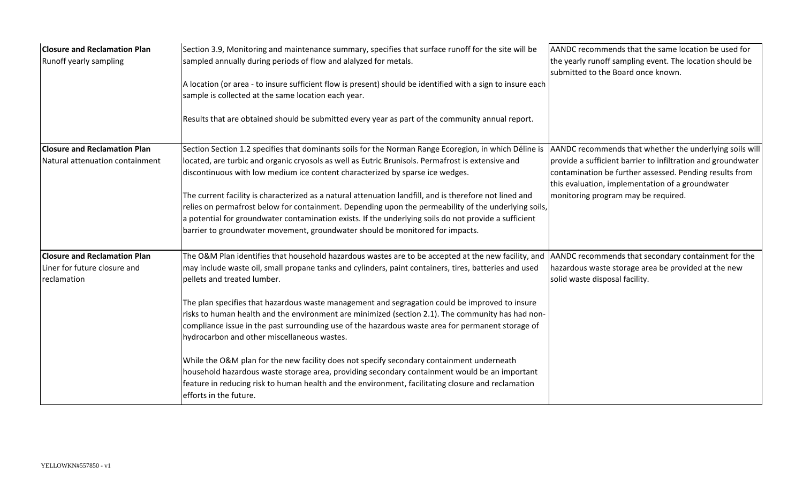| <b>Closure and Reclamation Plan</b><br>Runoff yearly sampling | Section 3.9, Monitoring and maintenance summary, specifies that surface runoff for the site will be<br>sampled annually during periods of flow and alalyzed for metals.<br>A location (or area - to insure sufficient flow is present) should be identified with a sign to insure each<br>sample is collected at the same location each year. | AANDC recommends that the same location be used for<br>the yearly runoff sampling event. The location should be<br>submitted to the Board once known.                       |
|---------------------------------------------------------------|-----------------------------------------------------------------------------------------------------------------------------------------------------------------------------------------------------------------------------------------------------------------------------------------------------------------------------------------------|-----------------------------------------------------------------------------------------------------------------------------------------------------------------------------|
|                                                               | Results that are obtained should be submitted every year as part of the community annual report.                                                                                                                                                                                                                                              |                                                                                                                                                                             |
| <b>Closure and Reclamation Plan</b>                           | Section Section 1.2 specifies that dominants soils for the Norman Range Ecoregion, in which Déline is                                                                                                                                                                                                                                         | AANDC recommends that whether the underlying soils will                                                                                                                     |
| Natural attenuation containment                               | located, are turbic and organic cryosols as well as Eutric Brunisols. Permafrost is extensive and<br>discontinuous with low medium ice content characterized by sparse ice wedges.                                                                                                                                                            | provide a sufficient barrier to infiltration and groundwater<br>contamination be further assessed. Pending results from<br>this evaluation, implementation of a groundwater |
|                                                               | The current facility is characterized as a natural attenuation landfill, and is therefore not lined and                                                                                                                                                                                                                                       | monitoring program may be required.                                                                                                                                         |
|                                                               | relies on permafrost below for containment. Depending upon the permeability of the underlying soils,                                                                                                                                                                                                                                          |                                                                                                                                                                             |
|                                                               | a potential for groundwater contamination exists. If the underlying soils do not provide a sufficient<br>barrier to groundwater movement, groundwater should be monitored for impacts.                                                                                                                                                        |                                                                                                                                                                             |
| <b>Closure and Reclamation Plan</b>                           | The O&M Plan identifies that household hazardous wastes are to be accepted at the new facility, and                                                                                                                                                                                                                                           | AANDC recommends that secondary containment for the                                                                                                                         |
| Liner for future closure and                                  | may include waste oil, small propane tanks and cylinders, paint containers, tires, batteries and used                                                                                                                                                                                                                                         | hazardous waste storage area be provided at the new                                                                                                                         |
| reclamation                                                   | pellets and treated lumber.                                                                                                                                                                                                                                                                                                                   | solid waste disposal facility.                                                                                                                                              |
|                                                               | The plan specifies that hazardous waste management and segragation could be improved to insure<br>risks to human health and the environment are minimized (section 2.1). The community has had non-<br>compliance issue in the past surrounding use of the hazardous waste area for permanent storage of                                      |                                                                                                                                                                             |
|                                                               | hydrocarbon and other miscellaneous wastes.                                                                                                                                                                                                                                                                                                   |                                                                                                                                                                             |
|                                                               | While the O&M plan for the new facility does not specify secondary containment underneath                                                                                                                                                                                                                                                     |                                                                                                                                                                             |
|                                                               | household hazardous waste storage area, providing secondary containment would be an important                                                                                                                                                                                                                                                 |                                                                                                                                                                             |
|                                                               | feature in reducing risk to human health and the environment, facilitating closure and reclamation<br>efforts in the future.                                                                                                                                                                                                                  |                                                                                                                                                                             |